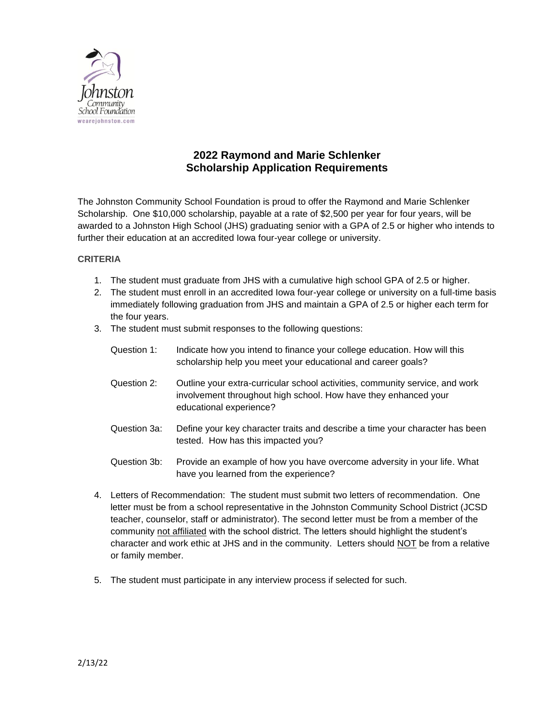

## **2022 Raymond and Marie Schlenker Scholarship Application Requirements**

The Johnston Community School Foundation is proud to offer the Raymond and Marie Schlenker Scholarship. One \$10,000 scholarship, payable at a rate of \$2,500 per year for four years, will be awarded to a Johnston High School (JHS) graduating senior with a GPA of 2.5 or higher who intends to further their education at an accredited Iowa four-year college or university.

## **CRITERIA**

- 1. The student must graduate from JHS with a cumulative high school GPA of 2.5 or higher.
- 2. The student must enroll in an accredited Iowa four-year college or university on a full-time basis immediately following graduation from JHS and maintain a GPA of 2.5 or higher each term for the four years.
- 3. The student must submit responses to the following questions:

| Question 1:                                                                           | Indicate how you intend to finance your college education. How will this<br>scholarship help you meet your educational and career goals?                                   |
|---------------------------------------------------------------------------------------|----------------------------------------------------------------------------------------------------------------------------------------------------------------------------|
| Question 2:                                                                           | Outline your extra-curricular school activities, community service, and work<br>involvement throughout high school. How have they enhanced your<br>educational experience? |
| Question 3a:                                                                          | Define your key character traits and describe a time your character has been<br>tested. How has this impacted you?                                                         |
| Question 3b:                                                                          | Provide an example of how you have overcome adversity in your life. What<br>have you learned from the experience?                                                          |
| Letters of Recommendation: The student must submit two letters of recommendation. One |                                                                                                                                                                            |

- 4. Letters of Recommendation: The student must submit two letters of recommend letter must be from a school representative in the Johnston Community School District (JCSD teacher, counselor, staff or administrator). The second letter must be from a member of the community not affiliated with the school district. The letters should highlight the student's character and work ethic at JHS and in the community. Letters should NOT be from a relative or family member.
- 5. The student must participate in any interview process if selected for such.